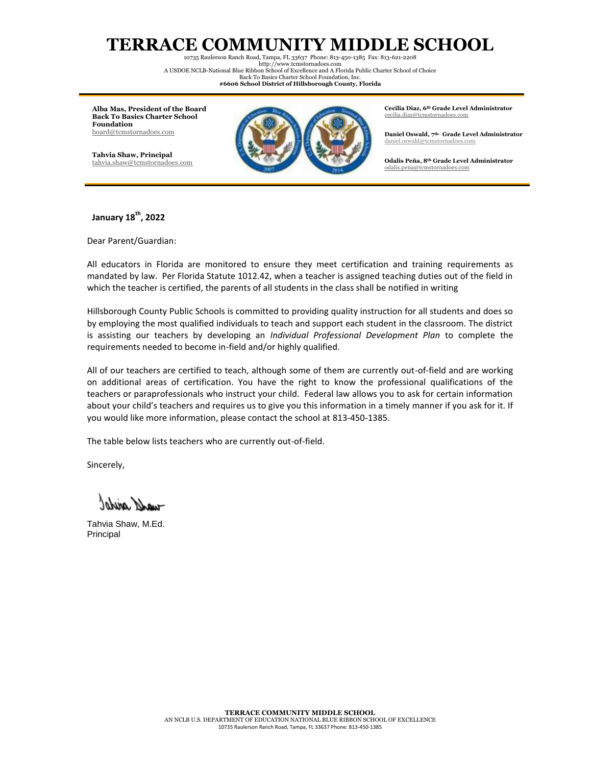## **TERRACE COMMUNITY MIDDLE SCHOOL**

10735 Raulerson Ranch Road, Tampa, FL 33637 Phone: 813-450-1385 Fax: 813-621-2208 http:/[/www.tcmstornadoes.com](http://www.tcstornadoes.com/) A USDOE NCLB-National Blue Ribbon School of Excellence and A Florida Public Charter School of Choice

Back To Basics Charter School Foundation, Inc. **#6606 School District of Hillsborough County, Florida**

**Alba Mas, President of the Board Back To Basics Charter School Foundation** [board@tcmstornadoes.com](mailto:board@tcmstornadoes.com)

**Tahvia Shaw, Principal** [tahvia.shaw@tcmstornadoes.com](mailto:tahvia.shaw@tcmstornadoes.com)



**Cecilia Diaz, 6th Grade Level Administrator** [cecilia.diaz@tcmstornadoes.com](mailto:cecilia.diaz@tcmstornadoes.com)

**Daniel Oswald, 7th- Grade Level Administrator** [daniel.oswald@tcmstornadoes.com](mailto:daniel.oswald@tcmstornadoes.com)

**Odalis Peña, 8th Grade Level Administrator** [odalis.pena@tcmstornadoes.com](mailto:odalis.pena@tcmstornadoes.com)

## **January 18th, 2022**

Dear Parent/Guardian:

All educators in Florida are monitored to ensure they meet certification and training requirements as mandated by law. Per Florida Statute 1012.42, when a teacher is assigned teaching duties out of the field in which the teacher is certified, the parents of all students in the class shall be notified in writing

Hillsborough County Public Schools is committed to providing quality instruction for all students and does so by employing the most qualified individuals to teach and support each student in the classroom. The district is assisting our teachers by developing an *Individual Professional Development Plan* to complete the requirements needed to become in-field and/or highly qualified.

All of our teachers are certified to teach, although some of them are currently out-of-field and are working on additional areas of certification. You have the right to know the professional qualifications of the teachers or paraprofessionals who instruct your child. Federal law allows you to ask for certain information about your child's teachers and requires us to give you this information in a timely manner if you ask for it. If you would like more information, please contact the school at 813-450-1385.

The table below lists teachers who are currently out-of-field.

Sincerely,

-und aidst

Tahvia Shaw, M.Ed. Principal